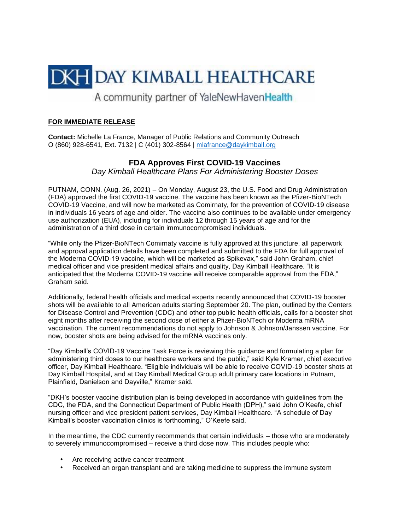

A community partner of YaleNewHavenHealth

## **FOR IMMEDIATE RELEASE**

**Contact:** Michelle La France, Manager of Public Relations and Community Outreach O (860) 928-6541, Ext. 7132 | C (401) 302-8564 | [mlafrance@daykimball.org](mailto:mlafrance@daykimball.org)

## **FDA Approves First COVID-19 Vaccines**

*Day Kimball Healthcare Plans For Administering Booster Doses* 

PUTNAM, CONN. (Aug. 26, 2021) – On Monday, August 23, the U.S. Food and Drug Administration (FDA) approved the first COVID-19 vaccine. The vaccine has been known as the Pfizer-BioNTech COVID-19 Vaccine, and will now be marketed as Comirnaty, for the prevention of COVID-19 disease in individuals 16 years of age and older. The vaccine also continues to be available under emergency use authorization (EUA), including for individuals 12 through 15 years of age and for the administration of a third dose in certain immunocompromised individuals.

"While only the Pfizer-BioNTech Comirnaty vaccine is fully approved at this juncture, all paperwork and approval application details have been completed and submitted to the FDA for full approval of the Moderna COVID-19 vaccine, which will be marketed as Spikevax," said John Graham, chief medical officer and vice president medical affairs and quality, Day Kimball Healthcare. "It is anticipated that the Moderna COVID-19 vaccine will receive comparable approval from the FDA," Graham said.

Additionally, federal health officials and medical experts recently announced that COVID-19 booster shots will be available to all American adults starting September 20. The plan, outlined by the Centers for Disease Control and Prevention (CDC) and other top public health officials, calls for a booster shot eight months after receiving the second dose of either a Pfizer-BioNTech or Moderna mRNA vaccination. The current recommendations do not apply to Johnson & Johnson/Janssen vaccine. For now, booster shots are being advised for the mRNA vaccines only.

"Day Kimball's COVID-19 Vaccine Task Force is reviewing this guidance and formulating a plan for administering third doses to our healthcare workers and the public," said Kyle Kramer, chief executive officer, Day Kimball Healthcare. "Eligible individuals will be able to receive COVID-19 booster shots at Day Kimball Hospital, and at Day Kimball Medical Group adult primary care locations in Putnam, Plainfield, Danielson and Dayville," Kramer said.

"DKH's booster vaccine distribution plan is being developed in accordance with guidelines from the CDC, the FDA, and the Connecticut Department of Public Health (DPH)," said John O'Keefe, chief nursing officer and vice president patient services, Day Kimball Healthcare. "A schedule of Day Kimball's booster vaccination clinics is forthcoming," O'Keefe said.

In the meantime, the CDC currently recommends that certain individuals – those who are moderately to severely immunocompromised – receive a third dose now. This includes people who:

- Are receiving active cancer treatment
- Received an organ transplant and are taking medicine to suppress the immune system